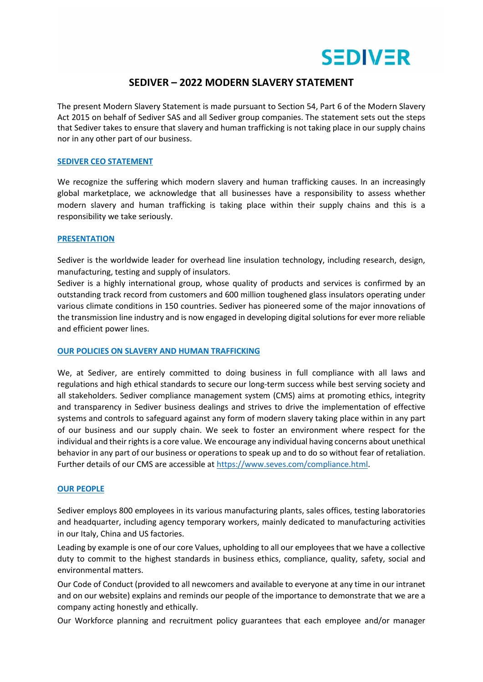

# **SEDIVER – 2022 MODERN SLAVERY STATEMENT**

The present Modern Slavery Statement is made pursuant to Section 54, Part 6 of the Modern Slavery Act 2015 on behalf of Sediver SAS and all Sediver group companies. The statement sets out the steps that Sediver takes to ensure that slavery and human trafficking is not taking place in our supply chains nor in any other part of our business.

### **SEDIVER CEO STATEMENT**

We recognize the suffering which modern slavery and human trafficking causes. In an increasingly global marketplace, we acknowledge that all businesses have a responsibility to assess whether modern slavery and human trafficking is taking place within their supply chains and this is a responsibility we take seriously.

#### **PRESENTATION**

Sediver is the worldwide leader for overhead line insulation technology, including research, design, manufacturing, testing and supply of insulators.

Sediver is a highly international group, whose quality of products and services is confirmed by an outstanding track record from customers and 600 million toughened glass insulators operating under various climate conditions in 150 countries. Sediver has pioneered some of the major innovations of the transmission line industry and is now engaged in developing digital solutions for ever more reliable and efficient power lines.

## **OUR POLICIES ON SLAVERY AND HUMAN TRAFFICKING**

We, at Sediver, are entirely committed to doing business in full compliance with all laws and regulations and high ethical standards to secure our long-term success while best serving society and all stakeholders. Sediver compliance management system (CMS) aims at promoting ethics, integrity and transparency in Sediver business dealings and strives to drive the implementation of effective systems and controls to safeguard against any form of modern slavery taking place within in any part of our business and our supply chain. We seek to foster an environment where respect for the individual and their rights is a core value. We encourage any individual having concerns about unethical behavior in any part of our business or operations to speak up and to do so without fear of retaliation. Further details of our CMS are accessible at https://www.seves.com/compliance.html.

## **OUR PEOPLE**

Sediver employs 800 employees in its various manufacturing plants, sales offices, testing laboratories and headquarter, including agency temporary workers, mainly dedicated to manufacturing activities in our Italy, China and US factories.

Leading by example is one of our core Values, upholding to all our employees that we have a collective duty to commit to the highest standards in business ethics, compliance, quality, safety, social and environmental matters.

Our Code of Conduct (provided to all newcomers and available to everyone at any time in our intranet and on our website) explains and reminds our people of the importance to demonstrate that we are a company acting honestly and ethically.

Our Workforce planning and recruitment policy guarantees that each employee and/or manager